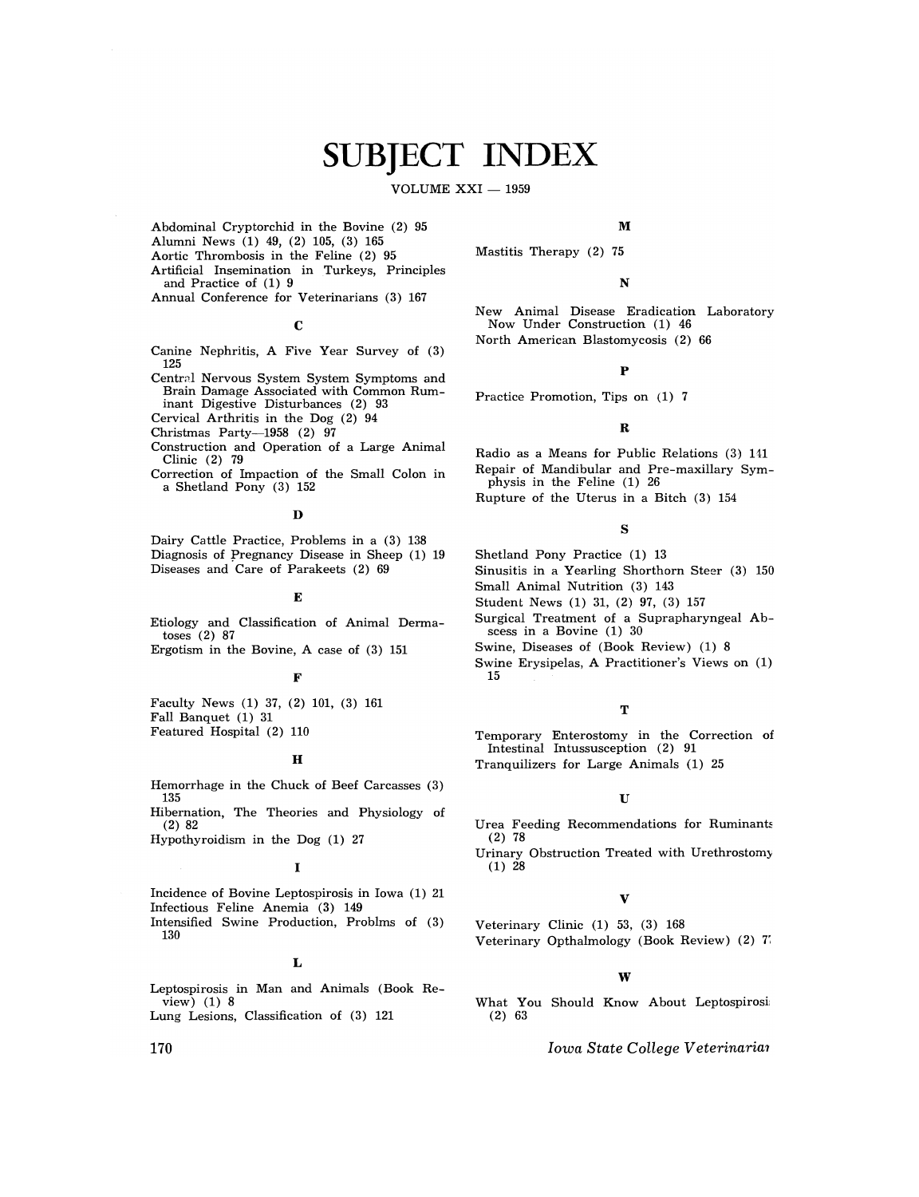# **SUBJECT INDEX**

VOLUME  $XXI - 1959$ 

Abdominal Cryptorchid in the Bovine (2) 95

- Alumni News (1) 49, (2) 105, (3) 165
- Aortic Thrombosis in the Feline (2) 95
- Artificial Insemination in Turkeys, Principles and Practice of (1) 9
- Annual Conference for Veterinarians (3) 167

c

- Canine Nephritis, A Five Year Survey of (3) 125
- Central Nervous System System Symptoms and Brain Damage Associated with Common Ruminant Digestive Disturbances (2) 93
- Cervical Arthritis in the Dog (2) 94
- Christmas Party-1958 (2) 97
- Construction and Operation of a Large Animal Clinic (2) 79
- Correction of Impaction of the Small Colon in a Shetland Pony (3) 152

#### $\mathbf{D}$

Dairy Cattle Practice, Problems in a (3) 138 Diagnosis of pregnancy Disease in Sheep (1) 19 Diseases and Care of Parakeets (2) 69

#### E

Etiology and Classification of Animal Dermatoses (2) 87

Ergotism in the Bovine, A case of (3) 151

#### F

Faculty News (1) 37, (2) 101, (3) 161 Fall Banquet (1) 31 Featured Hospital (2) 110

#### H

Hemorrhage in the Chuck of Beef Carcasses (3) 135

Hibernation, The Theories and Physiology of (2) 82

Hypothyroidism in the Dog (1) 27

#### I

Incidence of Bovine Leptospirosis in Iowa (1) 21 Infectious Feline Anemia (3) 149

Intensified Swine Production, Problms of (3) 130

#### L

Leptospirosis in Man and Animals (Book Review) (1) 8

Lung Lesions, Classification of (3) 121

#### M

Mastitis Therapy (2) 75

#### N

New Animal Disease Eradication Laboratory Now Under Construction (1) 46 North American Blastomycosis (2) 66

#### p

Practice Promotion, Tips on (1) 7

#### R

Radio as a Means for Public Relations (3) 141 Repair of Mandibular and Pre-maxillary Symphysis in the Feline (1) 26 Rupture of the Uterus in a Bitch (3) 154

#### s

- Shetland Pony Practice (1) 13
- Sinusitis in a Yearling Shorthorn Steer (3) 150
- Small Animal Nutrition (3) 143
- Student News (1) 31, (2) 97, (3) 157
- Surgical Treatment of a Suprapharyngeal Abscess in a Bovine (1) 30
- Swine, Diseases of (Book Review) (1) 8
- Swine Erysipelas, A Practitioner's Views on (1) 15

#### T

Temporary Enterostomy in the Correction of Intestinal Intussusception (2) 91 Tranquilizers for Large Animals (1) 25

#### u

Urea Feeding Recommendations for Ruminants (2) 78

Urinary Obstruction Treated with Urethrostom~  $(1)$  28

#### v

Veterinary Clinic (1) 53, (3) 168 Veterinary Opthalmology (Book Review) (2) 7~

#### w

What You Should Know About Leptospirosi (2) 63

*Iowa State College Veterinarim* 

170